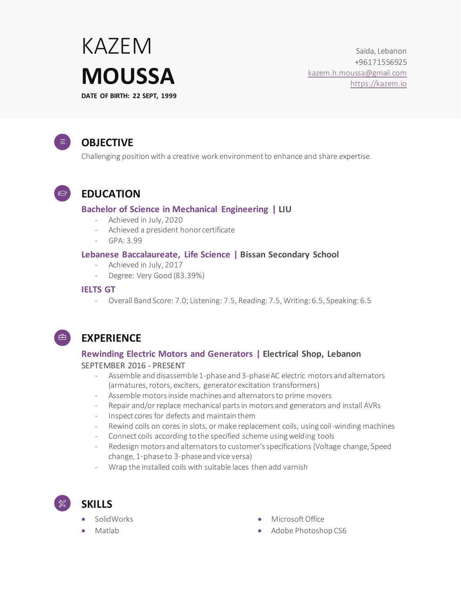# KAZEM **MOUSSA DATE OF BIRTH: 22 SEPT, 1999**

Saida, Lebanon +96171556925 [kazem.h.moussa@gmail.com](mailto:kazem.h.moussa@gmail.com) https://kazem.io

## **OBJECTIVE**

Challenging position with a creative work environment to enhance and share expertise.

 $\bigcirc$ 

 $\equiv$ 

## **EDUCATION**

### **Bachelor of Science in Mechanical Engineering | LIU**

- Achieved in July, 2020
- Achieved a president honor certificate
- $-$  GPA $\cdot$  3.99

#### **Lebanese Baccalaureate, Life Science | Bissan Secondary School**

- Achieved in July, 2017
- Degree: Very Good (83.39%)

#### **IELTS GT**

- Overall Band Score: 7.0; Listening: 7.5, Reading: 7.5, Writing: 6.5, Speaking: 6.5



## **EXPERIENCE**

## **Rewinding Electric Motors and Generators | Electrical Shop, Lebanon**

#### SEPTEMBER 2016 - PRESENT

- Assemble and disassemble 1-phase and 3-phase AC electric motors and alternators (armatures, rotors, exciters, generator excitation transformers)
- Assemble motors inside machines and alternators to prime movers
- Repair and/or replace mechanical parts in motors and generators and install AVRs
- Inspect cores for defects and maintain them
- Rewind coils on cores in slots, or make replacement coils, using coil-winding machines
- Connect coils according to the specified scheme using welding tools
- Redesign motors and alternators to customer's specifications (Voltage change, Speed change, 1-phase to 3-phase and vice versa)
- Wrap the installed coils with suitable laces then add varnish
- **SKILLS**
	- SolidWorks
	- Matlab
- **Microsoft Office**
- Adobe Photoshop CS6